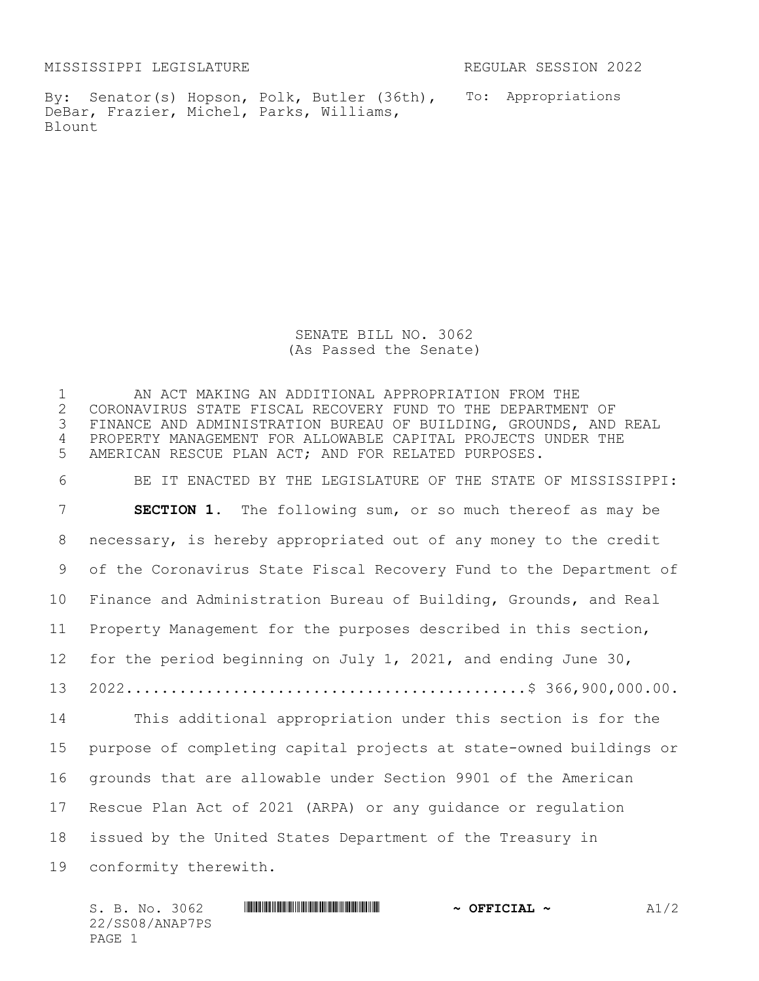MISSISSIPPI LEGISLATURE REGULAR SESSION 2022

By: Senator(s) Hopson, Polk, Butler (36th), To: Appropriations DeBar, Frazier, Michel, Parks, Williams, Blount

SENATE BILL NO. 3062 (As Passed the Senate)

 AN ACT MAKING AN ADDITIONAL APPROPRIATION FROM THE 2 CORONAVIRUS STATE FISCAL RECOVERY FUND TO THE DEPARTMENT OF<br>3 FINANCE AND ADMINISTRATION BUREAU OF BUILDING, GROUNDS, AND FINANCE AND ADMINISTRATION BUREAU OF BUILDING, GROUNDS, AND REAL PROPERTY MANAGEMENT FOR ALLOWABLE CAPITAL PROJECTS UNDER THE AMERICAN RESCUE PLAN ACT; AND FOR RELATED PURPOSES. BE IT ENACTED BY THE LEGISLATURE OF THE STATE OF MISSISSIPPI: **SECTION 1.** The following sum, or so much thereof as may be necessary, is hereby appropriated out of any money to the credit of the Coronavirus State Fiscal Recovery Fund to the Department of Finance and Administration Bureau of Building, Grounds, and Real Property Management for the purposes described in this section, for the period beginning on July 1, 2021, and ending June 30, 2022.............................................\$ 366,900,000.00. This additional appropriation under this section is for the purpose of completing capital projects at state-owned buildings or grounds that are allowable under Section 9901 of the American Rescue Plan Act of 2021 (ARPA) or any guidance or regulation issued by the United States Department of the Treasury in conformity therewith.

 $S. B. NO. 3062$  **\*Social analytic information in the second analytic induces**  $\sim$  **0FFICIAL**  $\sim$  **and analyzing**  $\sim$  **and**  $\sim$  **and**  $\sim$ 22/SS08/ANAP7PS PAGE 1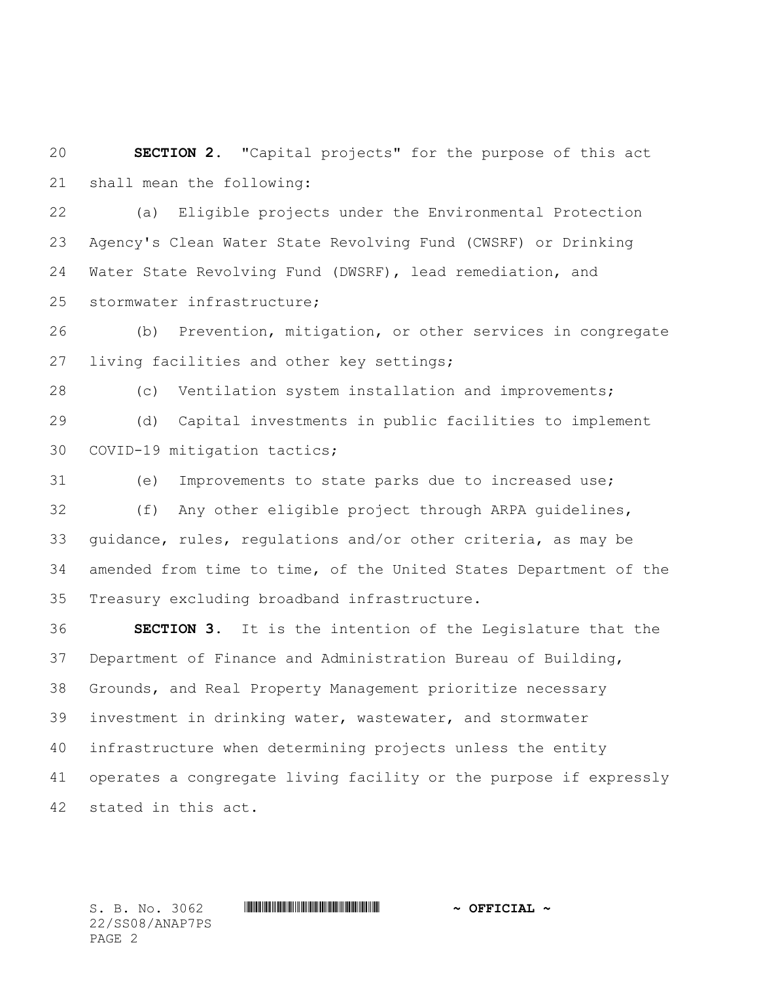**SECTION 2.** "Capital projects" for the purpose of this act shall mean the following:

 (a) Eligible projects under the Environmental Protection Agency's Clean Water State Revolving Fund (CWSRF) or Drinking Water State Revolving Fund (DWSRF), lead remediation, and stormwater infrastructure;

 (b) Prevention, mitigation, or other services in congregate living facilities and other key settings;

 (c) Ventilation system installation and improvements; (d) Capital investments in public facilities to implement COVID-19 mitigation tactics;

 (e) Improvements to state parks due to increased use; (f) Any other eligible project through ARPA guidelines, guidance, rules, regulations and/or other criteria, as may be amended from time to time, of the United States Department of the Treasury excluding broadband infrastructure.

 **SECTION 3.** It is the intention of the Legislature that the Department of Finance and Administration Bureau of Building, Grounds, and Real Property Management prioritize necessary investment in drinking water, wastewater, and stormwater infrastructure when determining projects unless the entity operates a congregate living facility or the purpose if expressly stated in this act.

22/SS08/ANAP7PS PAGE 2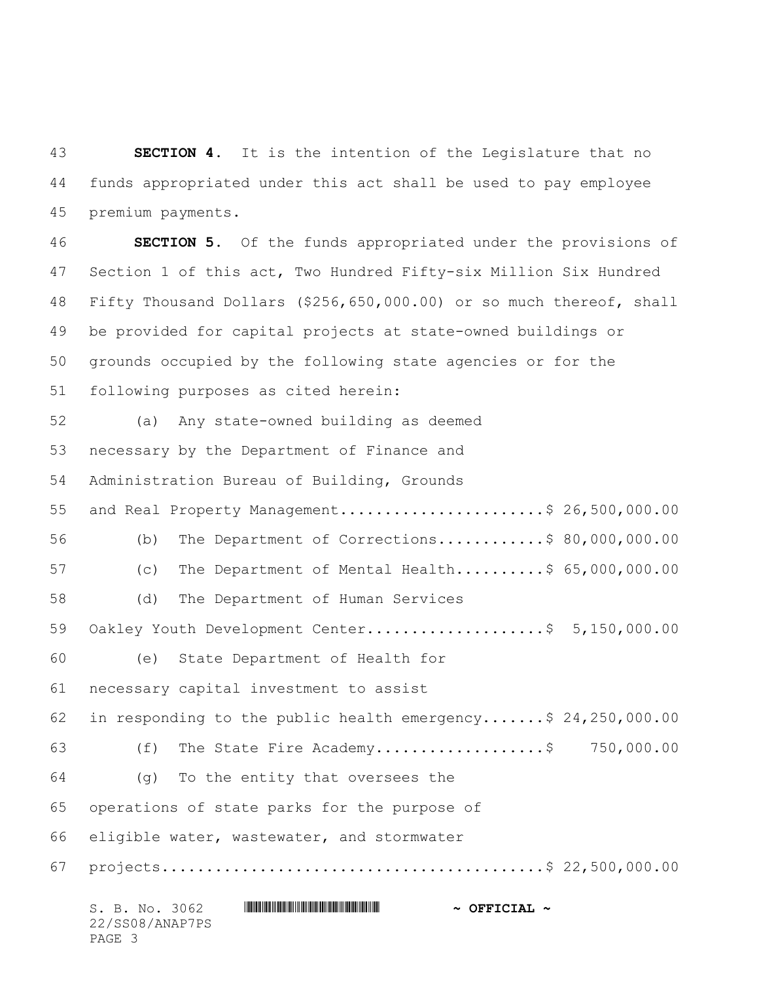**SECTION 4.** It is the intention of the Legislature that no funds appropriated under this act shall be used to pay employee premium payments.

S. B. No. 3062 \*SS08/ANAP7PS\* **~ OFFICIAL ~** 22/SS08/ANAP7PS **SECTION 5.** Of the funds appropriated under the provisions of Section 1 of this act, Two Hundred Fifty-six Million Six Hundred Fifty Thousand Dollars (\$256,650,000.00) or so much thereof, shall be provided for capital projects at state-owned buildings or grounds occupied by the following state agencies or for the following purposes as cited herein: (a) Any state-owned building as deemed necessary by the Department of Finance and Administration Bureau of Building, Grounds 55 and Real Property Management.........................\$ 26,500,000.00 (b) The Department of Corrections............\$ 80,000,000.00 (c) The Department of Mental Health..........\$ 65,000,000.00 (d) The Department of Human Services 59 Oakley Youth Development Center........................\$ 5,150,000.00 (e) State Department of Health for necessary capital investment to assist in responding to the public health emergency.......\$ 24,250,000.00 63 (f) The State Fire Academy.................................\$ 750,000.00 (g) To the entity that oversees the operations of state parks for the purpose of eligible water, wastewater, and stormwater projects...........................................\$ 22,500,000.00

PAGE 3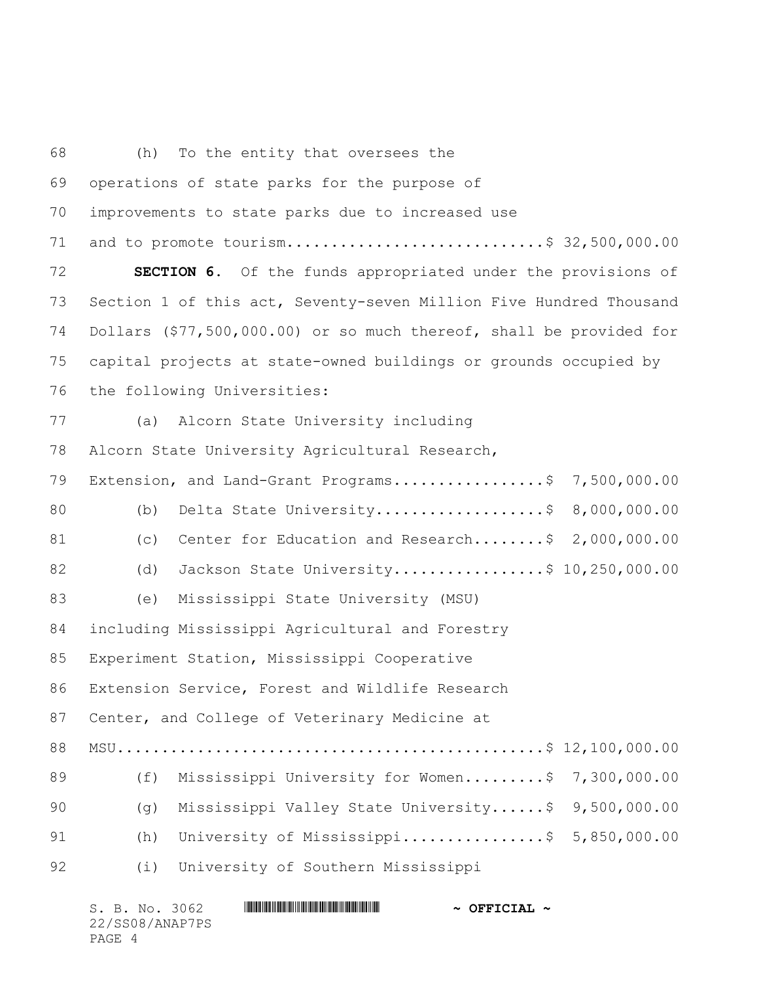(h) To the entity that oversees the operations of state parks for the purpose of improvements to state parks due to increased use and to promote tourism.............................\$ 32,500,000.00 **SECTION 6.** Of the funds appropriated under the provisions of Section 1 of this act, Seventy-seven Million Five Hundred Thousand Dollars (\$77,500,000.00) or so much thereof, shall be provided for capital projects at state-owned buildings or grounds occupied by the following Universities: (a) Alcorn State University including Alcorn State University Agricultural Research, 79 Extension, and Land-Grant Programs..................\$ 7,500,000.00 80 (b) Delta State University.....................\$ 8,000,000.00 81 (c) Center for Education and Research........\$ 2,000,000.00 82 (d) Jackson State University..................\$ 10,250,000.00 (e) Mississippi State University (MSU) including Mississippi Agricultural and Forestry Experiment Station, Mississippi Cooperative Extension Service, Forest and Wildlife Research Center, and College of Veterinary Medicine at MSU................................................\$ 12,100,000.00 89 (f) Mississippi University for Women.........\$ 7,300,000.00 (g) Mississippi Valley State University......\$ 9,500,000.00 91 (h) University of Mississippi..................\$ 5,850,000.00 (i) University of Southern Mississippi

| S. B. No. 3062  |  | $\sim$ OFFICIAL $\sim$ |
|-----------------|--|------------------------|
| 22/SS08/ANAP7PS |  |                        |
| PAGE 4          |  |                        |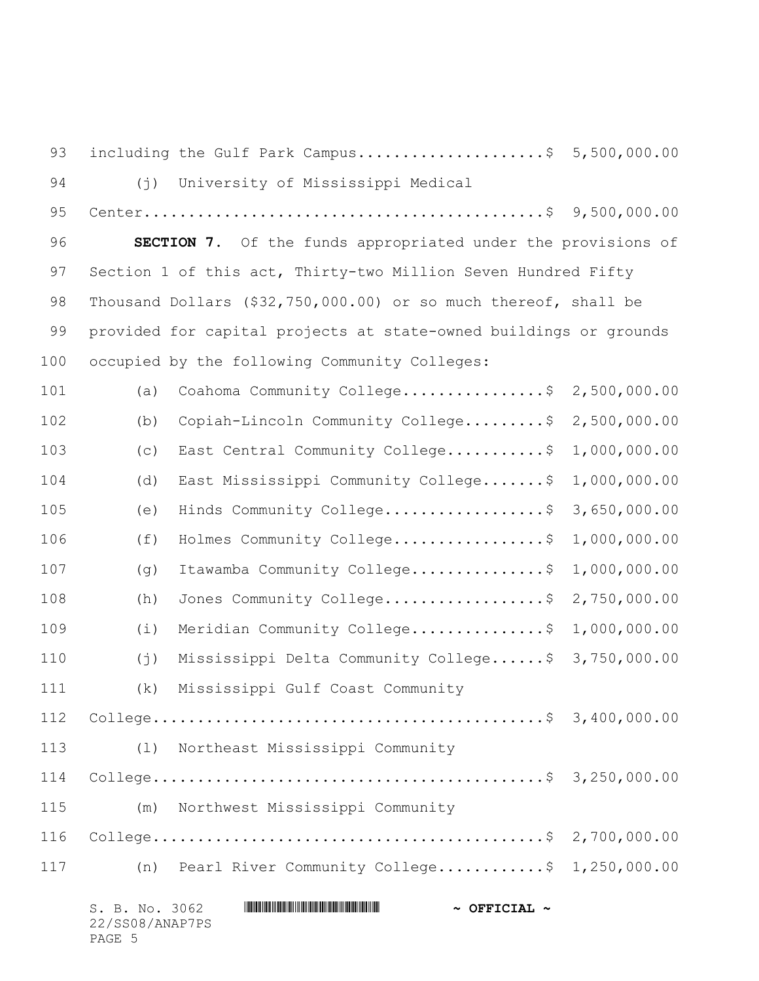93 including the Gulf Park Campus.......................\$ 5,500,000.00 (j) University of Mississippi Medical Center.............................................\$ 9,500,000.00 **SECTION 7.** Of the funds appropriated under the provisions of 97 Section 1 of this act, Thirty-two Million Seven Hundred Fifty Thousand Dollars (\$32,750,000.00) or so much thereof, shall be provided for capital projects at state-owned buildings or grounds occupied by the following Community Colleges: (a) Coahoma Community College................\$ 2,500,000.00 (b) Copiah-Lincoln Community College.........\$ 2,500,000.00 (c) East Central Community College...........\$ 1,000,000.00 (d) East Mississippi Community College.......\$ 1,000,000.00 (e) Hinds Community College..................\$ 3,650,000.00 (f) Holmes Community College.................\$ 1,000,000.00 (g) Itawamba Community College...............\$ 1,000,000.00 108 (h) Jones Community College...................\$ 2,750,000.00 (i) Meridian Community College...............\$ 1,000,000.00 (j) Mississippi Delta Community College......\$ 3,750,000.00 (k) Mississippi Gulf Coast Community College............................................\$ 3,400,000.00 (l) Northeast Mississippi Community College............................................\$ 3,250,000.00 (m) Northwest Mississippi Community College............................................\$ 2,700,000.00 (n) Pearl River Community College............\$ 1,250,000.00

|        |  | S. B. No. 3062  |  | $\sim$ OFFICIAL $\sim$ |
|--------|--|-----------------|--|------------------------|
|        |  | 22/SS08/ANAP7PS |  |                        |
| PAGE 5 |  |                 |  |                        |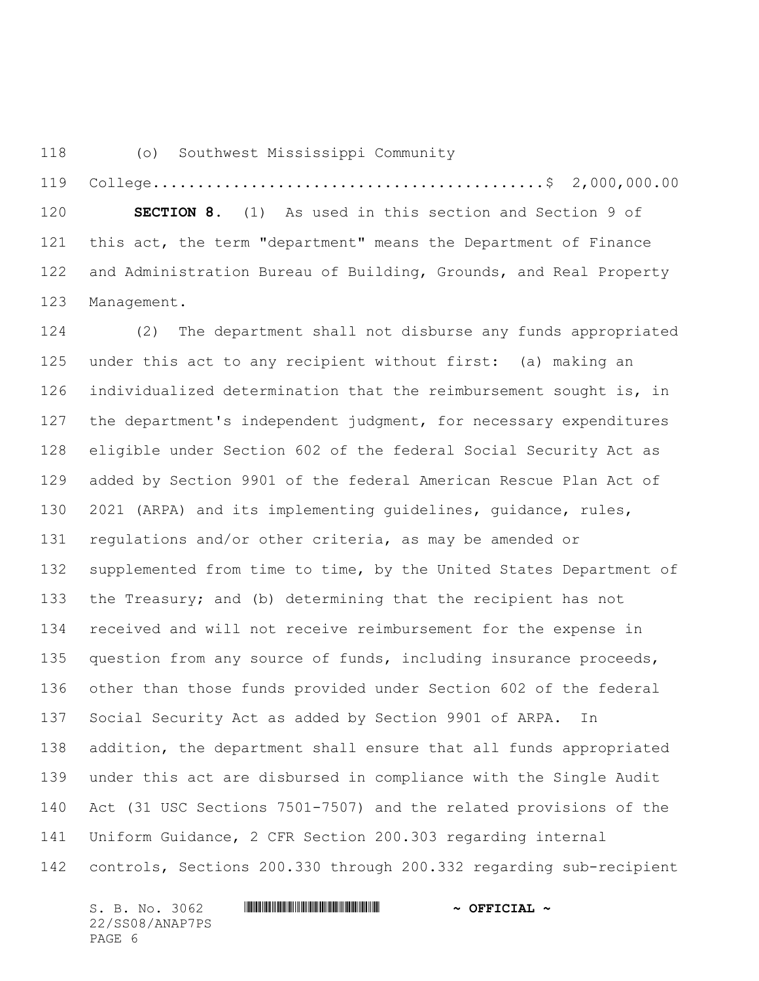(o) Southwest Mississippi Community

 College............................................\$ 2,000,000.00 **SECTION 8.** (1) As used in this section and Section 9 of this act, the term "department" means the Department of Finance and Administration Bureau of Building, Grounds, and Real Property Management.

 (2) The department shall not disburse any funds appropriated under this act to any recipient without first: (a) making an individualized determination that the reimbursement sought is, in the department's independent judgment, for necessary expenditures eligible under Section 602 of the federal Social Security Act as added by Section 9901 of the federal American Rescue Plan Act of 2021 (ARPA) and its implementing guidelines, guidance, rules, regulations and/or other criteria, as may be amended or supplemented from time to time, by the United States Department of the Treasury; and (b) determining that the recipient has not received and will not receive reimbursement for the expense in 135 question from any source of funds, including insurance proceeds, other than those funds provided under Section 602 of the federal Social Security Act as added by Section 9901 of ARPA. In addition, the department shall ensure that all funds appropriated under this act are disbursed in compliance with the Single Audit Act (31 USC Sections 7501-7507) and the related provisions of the Uniform Guidance, 2 CFR Section 200.303 regarding internal controls, Sections 200.330 through 200.332 regarding sub-recipient

S. B. No. 3062 \*SS08/ANAP7PS\* **~ OFFICIAL ~** 22/SS08/ANAP7PS PAGE 6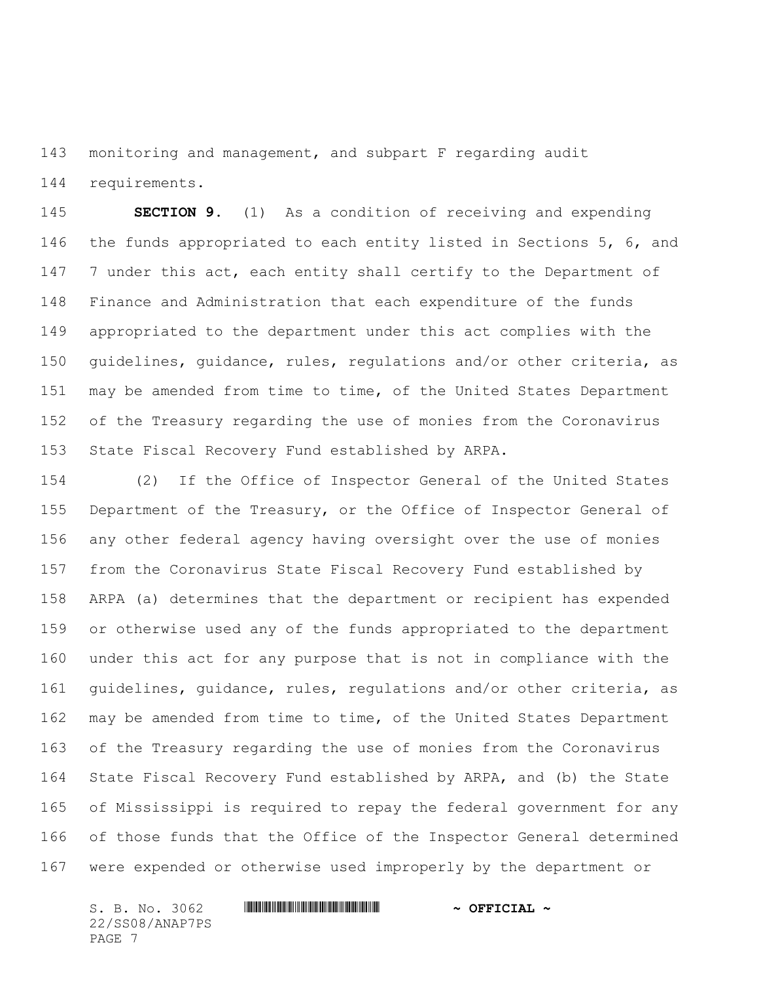monitoring and management, and subpart F regarding audit requirements.

 **SECTION 9.** (1) As a condition of receiving and expending the funds appropriated to each entity listed in Sections 5, 6, and 147 7 under this act, each entity shall certify to the Department of Finance and Administration that each expenditure of the funds appropriated to the department under this act complies with the guidelines, guidance, rules, regulations and/or other criteria, as may be amended from time to time, of the United States Department of the Treasury regarding the use of monies from the Coronavirus State Fiscal Recovery Fund established by ARPA.

 (2) If the Office of Inspector General of the United States 155 Department of the Treasury, or the Office of Inspector General of any other federal agency having oversight over the use of monies from the Coronavirus State Fiscal Recovery Fund established by ARPA (a) determines that the department or recipient has expended or otherwise used any of the funds appropriated to the department under this act for any purpose that is not in compliance with the guidelines, guidance, rules, regulations and/or other criteria, as may be amended from time to time, of the United States Department of the Treasury regarding the use of monies from the Coronavirus State Fiscal Recovery Fund established by ARPA, and (b) the State of Mississippi is required to repay the federal government for any of those funds that the Office of the Inspector General determined were expended or otherwise used improperly by the department or

S. B. No. 3062 \*SS08/ANAP7PS\* **~ OFFICIAL ~** 22/SS08/ANAP7PS PAGE 7